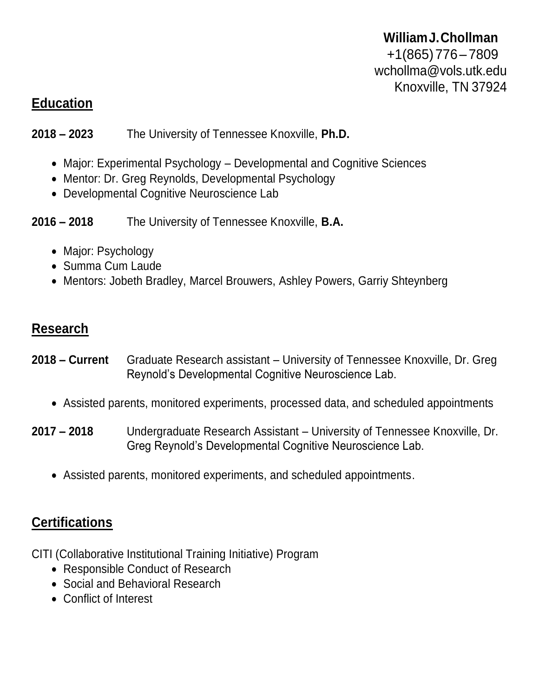#### **WilliamJ.Chollman**

+1(865)776– 7809 [wchollma@vols.utk.edu](mailto:wchollma@vols.utk.edu) Knoxville, TN 37924

#### **Education**

**2018 – 2023** The University of Tennessee Knoxville, **Ph.D.**

- Major: Experimental Psychology Developmental and Cognitive Sciences
- Mentor: Dr. Greg Reynolds, Developmental Psychology
- Developmental Cognitive Neuroscience Lab

**2016 – 2018** The University of Tennessee Knoxville, **B.A.**

- Major: Psychology
- Summa Cum Laude
- Mentors: Jobeth Bradley, Marcel Brouwers, Ashley Powers, Garriy Shteynberg

## **Research**

- **2018 – Current** Graduate Research assistant University of Tennessee Knoxville, Dr. Greg Reynold's Developmental Cognitive Neuroscience Lab.
	- Assisted parents, monitored experiments, processed data, and scheduled appointments
- **2017 – 2018** Undergraduate Research Assistant University of Tennessee Knoxville, Dr. Greg Reynold's Developmental Cognitive Neuroscience Lab.
	- Assisted parents, monitored experiments, and scheduled appointments.

# **Certifications**

CITI (Collaborative Institutional Training Initiative) Program

- Responsible Conduct of Research
- Social and Behavioral Research
- Conflict of Interest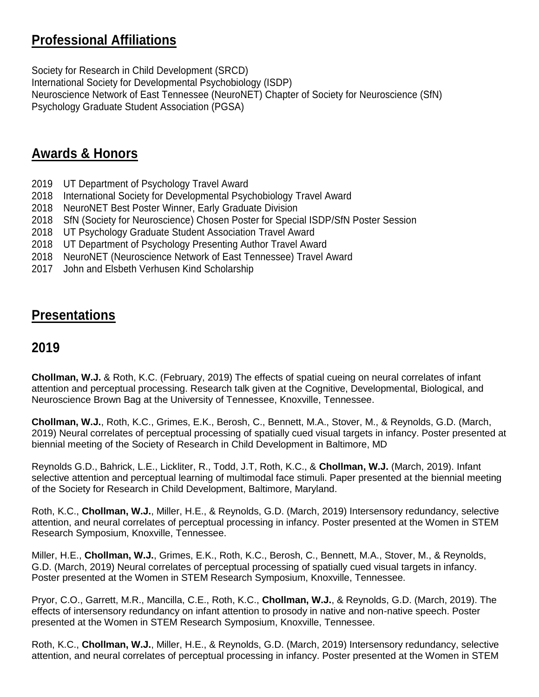### **Professional Affiliations**

Society for Research in Child Development (SRCD)

International Society for Developmental Psychobiology (ISDP) Neuroscience Network of East Tennessee (NeuroNET) Chapter of Society for Neuroscience (SfN) Psychology Graduate Student Association (PGSA)

## **Awards & Honors**

- 2019 UT Department of Psychology Travel Award
- 2018 International Society for Developmental Psychobiology Travel Award
- 2018 NeuroNET Best Poster Winner, Early Graduate Division
- 2018 SfN (Society for Neuroscience) Chosen Poster for Special ISDP/SfN Poster Session
- 2018 UT Psychology Graduate Student Association Travel Award
- 2018 UT Department of Psychology Presenting Author Travel Award
- 2018 NeuroNET (Neuroscience Network of East Tennessee) Travel Award
- 2017 John and Elsbeth Verhusen Kind Scholarship

## **Presentations**

#### **2019**

**Chollman, W.J.** & Roth, K.C. (February, 2019) The effects of spatial cueing on neural correlates of infant attention and perceptual processing. Research talk given at the Cognitive, Developmental, Biological, and Neuroscience Brown Bag at the University of Tennessee, Knoxville, Tennessee.

**Chollman, W.J.**, Roth, K.C., Grimes, E.K., Berosh, C., Bennett, M.A., Stover, M., & Reynolds, G.D. (March, 2019) Neural correlates of perceptual processing of spatially cued visual targets in infancy. Poster presented at biennial meeting of the Society of Research in Child Development in Baltimore, MD

Reynolds G.D., Bahrick, L.E., Lickliter, R., Todd, J.T, Roth, K.C., & **Chollman, W.J.** (March, 2019). Infant selective attention and perceptual learning of multimodal face stimuli. Paper presented at the biennial meeting of the Society for Research in Child Development, Baltimore, Maryland.

Roth, K.C., **Chollman, W.J.**, Miller, H.E., & Reynolds, G.D. (March, 2019) Intersensory redundancy, selective attention, and neural correlates of perceptual processing in infancy. Poster presented at the Women in STEM Research Symposium, Knoxville, Tennessee.

Miller, H.E., **Chollman, W.J.**, Grimes, E.K., Roth, K.C., Berosh, C., Bennett, M.A., Stover, M., & Reynolds, G.D. (March, 2019) Neural correlates of perceptual processing of spatially cued visual targets in infancy. Poster presented at the Women in STEM Research Symposium, Knoxville, Tennessee.

Pryor, C.O., Garrett, M.R., Mancilla, C.E., Roth, K.C., **Chollman, W.J.**, & Reynolds, G.D. (March, 2019). The effects of intersensory redundancy on infant attention to prosody in native and non-native speech. Poster presented at the Women in STEM Research Symposium, Knoxville, Tennessee.

Roth, K.C., **Chollman, W.J.**, Miller, H.E., & Reynolds, G.D. (March, 2019) Intersensory redundancy, selective attention, and neural correlates of perceptual processing in infancy. Poster presented at the Women in STEM